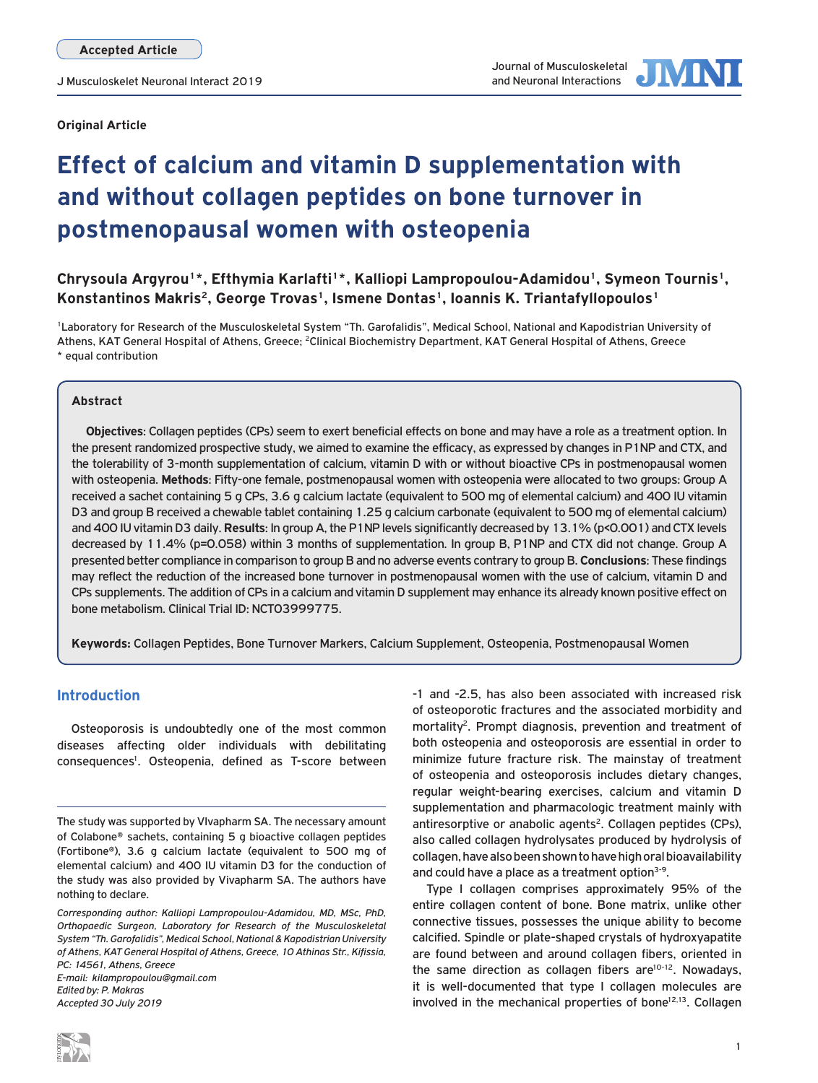**Original Article**



# **Effect of calcium and vitamin D supplementation with and without collagen peptides on bone turnover in postmenopausal women with osteopenia**

Chrysoula Argyrou<sup>1\*</sup>, Efthymia Karlafti<sup>1\*</sup>, Kalliopi Lampropoulou-Adamidou<sup>1</sup>, Symeon Tournis<sup>1</sup>, **Konstantinos Makris2, George Trovas1, Ismene Dontas1, Ioannis K. Triantafyllopoulos1**

1Laboratory for Research of the Musculoskeletal System "Th. Garofalidis", Medical School, National and Kapodistrian University of Athens, KAT General Hospital of Athens, Greece; <sup>2</sup>Clinical Biochemistry Department, KAT General Hospital of Athens, Greece \* equal contribution

## **Abstract**

**Objectives**: Collagen peptides (CPs) seem to exert beneficial effects on bone and may have a role as a treatment option. In the present randomized prospective study, we aimed to examine the efficacy, as expressed by changes in P1NP and CTX, and the tolerability of 3-month supplementation of calcium, vitamin D with or without bioactive CPs in postmenopausal women with osteopenia. **Methods**: Fifty-one female, postmenopausal women with osteopenia were allocated to two groups: Group A received a sachet containing 5 g CPs, 3.6 g calcium lactate (equivalent to 500 mg of elemental calcium) and 400 IU vitamin D3 and group B received a chewable tablet containing 1.25 g calcium carbonate (equivalent to 500 mg of elemental calcium) and 400 IU vitamin D3 daily. **Results**: In group A, the P1NP levels significantly decreased by 13.1% (p<0.001) and CTX levels decreased by 11.4% (p=0.058) within 3 months of supplementation. In group B, P1NP and CTX did not change. Group A presented better compliance in comparison to group B and no adverse events contrary to group B. **Conclusions**: These findings may reflect the reduction of the increased bone turnover in postmenopausal women with the use of calcium, vitamin D and CPs supplements. The addition of CPs in a calcium and vitamin D supplement may enhance its already known positive effect on bone metabolism. Clinical Trial ID: NCT03999775.

**Keywords:** Collagen Peptides, Bone Turnover Markers, Calcium Supplement, Osteopenia, Postmenopausal Women

## **Introduction**

Osteoporosis is undoubtedly one of the most common diseases affecting older individuals with debilitating consequences<sup>1</sup>. Osteopenia, defined as T-score between

*Accepted 30 July 2019*

-1 and -2.5, has also been associated with increased risk of osteoporotic fractures and the associated morbidity and mortality<sup>2</sup>. Prompt diagnosis, prevention and treatment of both osteopenia and osteoporosis are essential in order to minimize future fracture risk. The mainstay of treatment of osteopenia and osteoporosis includes dietary changes, regular weight-bearing exercises, calcium and vitamin D supplementation and pharmacologic treatment mainly with antiresorptive or anabolic agents<sup>2</sup>. Collagen peptides (CPs), also called collagen hydrolysates produced by hydrolysis of collagen, have also been shown to have high oral bioavailability and could have a place as a treatment option<sup>3-9</sup>.

Type I collagen comprises approximately 95% of the entire collagen content of bone. Bone matrix, unlike other connective tissues, possesses the unique ability to become calcified. Spindle or plate-shaped crystals of hydroxyapatite are found between and around collagen fibers, oriented in the same direction as collagen fibers are $10-12$ . Nowadays, it is well-documented that type I collagen molecules are involved in the mechanical properties of bone $12,13$ . Collagen

The study was supported by VIvapharm SA. The necessary amount of Colabone® sachets, containing 5 g bioactive collagen peptides (Fortibone®), 3.6 g calcium lactate (equivalent to 500 mg of elemental calcium) and 400 IU vitamin D3 for the conduction of the study was also provided by Vivapharm SA. The authors have nothing to declare.

*Corresponding author: Kalliopi Lampropoulou-Adamidou, MD, MSc, PhD, Orthopaedic Surgeon, Laboratory for Research of the Musculoskeletal System "Th. Garofalidis", Medical School, National & Kapodistrian University of Athens, KAT General Hospital of Athens, Greece, 10 Athinas Str., Kifissia, PC: 14561, Athens, Greece E-mail: kilampropoulou@gmail.com Edited by: P. Makras*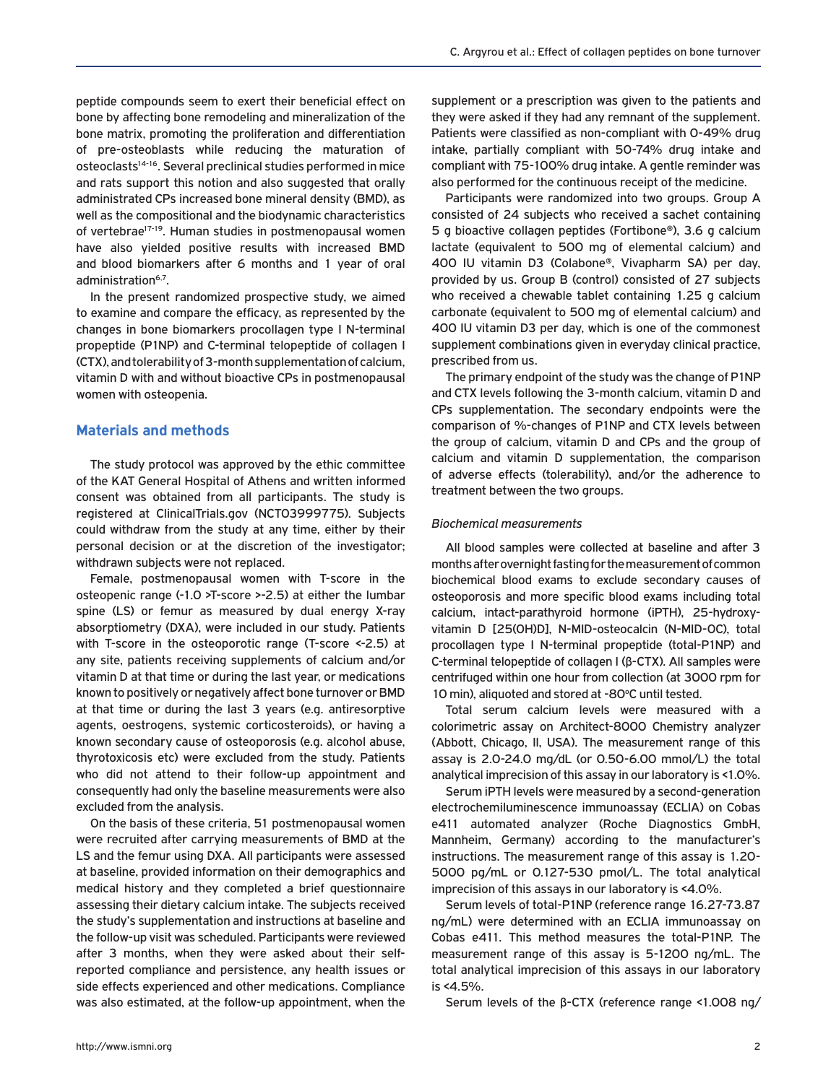peptide compounds seem to exert their beneficial effect on bone by affecting bone remodeling and mineralization of the bone matrix, promoting the proliferation and differentiation of pre-osteoblasts while reducing the maturation of osteoclasts<sup>14-16</sup>. Several preclinical studies performed in mice and rats support this notion and also suggested that orally administrated CPs increased bone mineral density (BMD), as well as the compositional and the biodynamic characteristics of vertebrae<sup>17-19</sup>. Human studies in postmenopausal women have also yielded positive results with increased BMD and blood biomarkers after 6 months and 1 year of oral administration<sup>6,7</sup>.

In the present randomized prospective study, we aimed to examine and compare the efficacy, as represented by the changes in bone biomarkers procollagen type I N-terminal propeptide (P1NP) and C-terminal telopeptide of collagen I (CTX), and tolerability of 3-month supplementation of calcium, vitamin D with and without bioactive CPs in postmenopausal women with osteopenia.

## **Materials and methods**

The study protocol was approved by the ethic committee of the KAT General Hospital of Athens and written informed consent was obtained from all participants. The study is registered at ClinicalTrials.gov (NCT03999775). Subjects could withdraw from the study at any time, either by their personal decision or at the discretion of the investigator; withdrawn subjects were not replaced.

Female, postmenopausal women with T-score in the osteopenic range (-1.0 >T-score >-2.5) at either the lumbar spine (LS) or femur as measured by dual energy X-ray absorptiometry (DXA), were included in our study. Patients with T-score in the osteoporotic range (T-score <-2.5) at any site, patients receiving supplements of calcium and/or vitamin D at that time or during the last year, or medications known to positively or negatively affect bone turnover or BMD at that time or during the last 3 years (e.g. antiresorptive agents, oestrogens, systemic corticosteroids), or having a known secondary cause of osteoporosis (e.g. alcohol abuse, thyrotoxicosis etc) were excluded from the study. Patients who did not attend to their follow-up appointment and consequently had only the baseline measurements were also excluded from the analysis.

On the basis of these criteria, 51 postmenopausal women were recruited after carrying measurements of BMD at the LS and the femur using DXA. All participants were assessed at baseline, provided information on their demographics and medical history and they completed a brief questionnaire assessing their dietary calcium intake. The subjects received the study's supplementation and instructions at baseline and the follow-up visit was scheduled. Participants were reviewed after 3 months, when they were asked about their selfreported compliance and persistence, any health issues or side effects experienced and other medications. Compliance was also estimated, at the follow-up appointment, when the supplement or a prescription was given to the patients and they were asked if they had any remnant of the supplement. Patients were classified as non-compliant with 0-49% drug intake, partially compliant with 50-74% drug intake and compliant with 75-100% drug intake. A gentle reminder was also performed for the continuous receipt of the medicine.

Participants were randomized into two groups. Group A consisted of 24 subjects who received a sachet containing 5 g bioactive collagen peptides (Fortibone®), 3.6 g calcium lactate (equivalent to 500 mg of elemental calcium) and 400 IU vitamin D3 (Colabone®, Vivapharm SA) per day, provided by us. Group B (control) consisted of 27 subjects who received a chewable tablet containing 1.25 g calcium carbonate (equivalent to 500 mg of elemental calcium) and 400 IU vitamin D3 per day, which is one of the commonest supplement combinations given in everyday clinical practice, prescribed from us.

The primary endpoint of the study was the change of P1NP and CTX levels following the 3-month calcium, vitamin D and CPs supplementation. The secondary endpoints were the comparison of %-changes of P1NP and CTX levels between the group of calcium, vitamin D and CPs and the group of calcium and vitamin D supplementation, the comparison of adverse effects (tolerability), and/or the adherence to treatment between the two groups.

#### *Biochemical measurements*

All blood samples were collected at baseline and after 3 months after overnight fasting for the measurement of common biochemical blood exams to exclude secondary causes of osteoporosis and more specific blood exams including total calcium, intact-parathyroid hormone (iPTH), 25-hydroxyvitamin D [25(OH)D], N-MID-osteocalcin (N-MID-OC), total procollagen type I N-terminal propeptide (total-P1NP) and C-terminal telopeptide of collagen I (β-CTX). All samples were centrifuged within one hour from collection (at 3000 rpm for 10 min), aliquoted and stored at -80°C until tested.

Total serum calcium levels were measured with a colorimetric assay on Architect-8000 Chemistry analyzer (Abbott, Chicago, Il, USA). The measurement range of this assay is 2.0-24.0 mg/dL (or 0.50-6.00 mmol/L) the total analytical imprecision of this assay in our laboratory is <1.0%.

Serum iPTH levels were measured by a second-generation electrochemiluminescence immunoassay (ECLIA) on Cobas e411 automated analyzer (Roche Diagnostics GmbH, Mannheim, Germany) according to the manufacturer's instructions. The measurement range of this assay is 1.20- 5000 pg/mL or 0.127-530 pmol/L. The total analytical imprecision of this assays in our laboratory is <4.0%.

Serum levels of total-P1NP (reference range 16.27-73.87 ng/mL) were determined with an ECLIA immunoassay on Cobas e411. This method measures the total-P1NP. The measurement range of this assay is 5-1200 ng/mL. The total analytical imprecision of this assays in our laboratory is <4.5%.

Serum levels of the β-CTX (reference range <1.008 ng/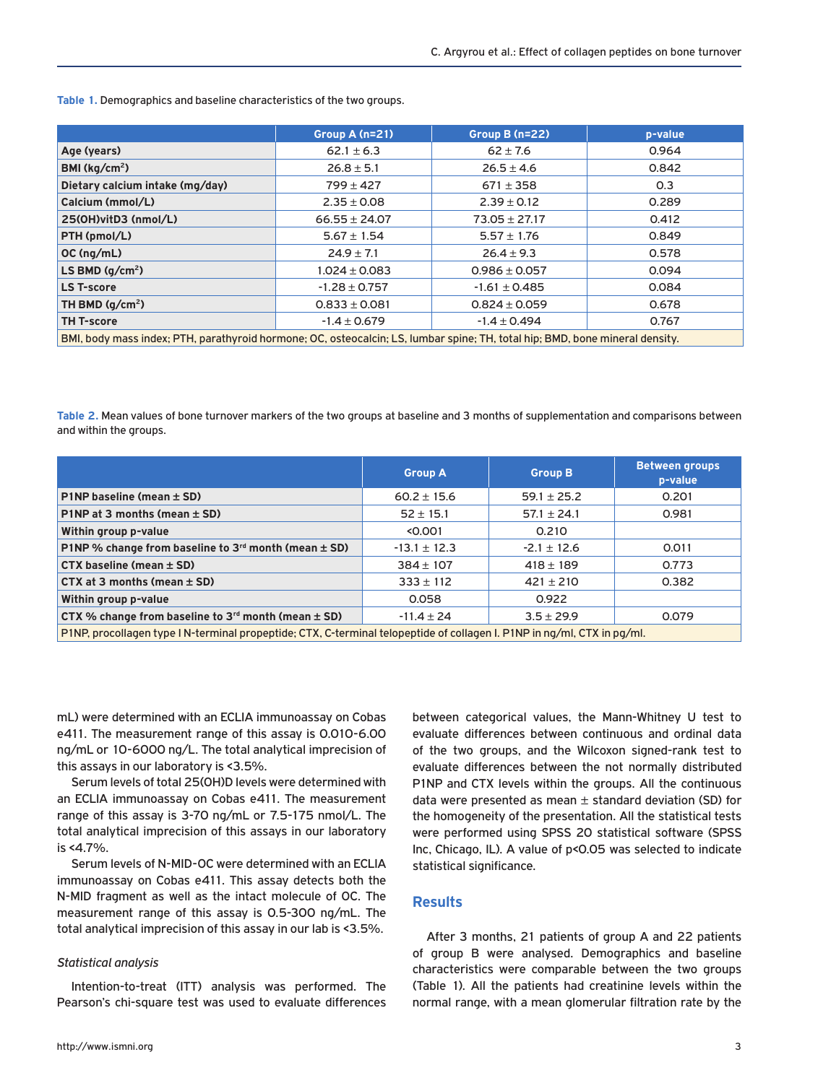**Group A (n=21) Group B (n=22) p-value Age (years)** 62.1 ± 6.3 62 ± 7.6 0.964 **BMI (kg/cm<sup>2</sup>) 26.8 ± 5.1 26.8 ± 5.1 26.5 ± 4.6 0.842 Dietary calcium intake (mg/day)** 799 ± 427 671 ± 358 0.3 **Calcium (mmol/L)** 2.35 ± 0.08 2.39 ± 0.12 0.289 **25(OH)vitD3 (nmol/L)** 66.55 ± 24.07 73.05 ± 27.17 0.412 **PTH (pmol/L) 5.67** ± 1.54 5.57 ± 1.76 0.849 **OC (ng/mL)** 24.9 ± 7.1 26.4 ± 9.3 0.578 **LS BMD (g/cm2)** 1.024 ± 0.083 0.986 ± 0.057 0.094 **LS T-score** -1.28 ± 0.757 -1.61 ± 0.485 0.084 **TH BMD (g/cm<sup>2</sup>) 0.833 ± 0.081 0.824 ± 0.059 0.678 TH T-score** -1.4 ± 0.679 -1.4 ± 0.494 0.767 BMI, body mass index; PTH, parathyroid hormone; OC, osteocalcin; LS, lumbar spine; TH, total hip; BMD, bone mineral density.

**Table 1.** Demographics and baseline characteristics of the two groups.

**Table 2.** Mean values of bone turnover markers of the two groups at baseline and 3 months of supplementation and comparisons between and within the groups.

|                                                                                                                         | <b>Group A</b>   | <b>Group B</b>  | <b>Between groups</b><br>p-value |
|-------------------------------------------------------------------------------------------------------------------------|------------------|-----------------|----------------------------------|
| P1NP baseline (mean $\pm$ SD)                                                                                           | $60.2 \pm 15.6$  | $59.1 \pm 25.2$ | 0.201                            |
| P1NP at 3 months (mean $\pm$ SD)                                                                                        | $52 \pm 15.1$    | $57.1 \pm 24.1$ | 0.981                            |
| Within group p-value                                                                                                    | < 0.001          | 0.210           |                                  |
| P1NP % change from baseline to $3^{rd}$ month (mean $\pm$ SD)                                                           | $-13.1 \pm 12.3$ | $-2.1 \pm 12.6$ | 0.011                            |
| $CTX$ baseline (mean $\pm$ SD)                                                                                          | $384 \pm 107$    | $418 \pm 189$   | 0.773                            |
| $CTX$ at 3 months (mean $\pm$ SD)                                                                                       | $333 \pm 112$    | $421 \pm 210$   | 0.382                            |
| Within group p-value                                                                                                    | 0.058            | 0.922           |                                  |
| CTX % change from baseline to $3rd$ month (mean $\pm$ SD)                                                               | $-11.4 \pm 24$   | $3.5 \pm 29.9$  | 0.079                            |
| P1NP, procollagen type I N-terminal propeptide; CTX, C-terminal telopeptide of collagen I. P1NP in ng/ml, CTX in pg/ml. |                  |                 |                                  |

mL) were determined with an ECLIA immunoassay on Cobas e411. The measurement range of this assay is 0.010-6.00 ng/mL or 10-6000 ng/L. The total analytical imprecision of this assays in our laboratory is <3.5%.

Serum levels of total 25(OH)D levels were determined with an ECLIA immunoassay on Cobas e411. The measurement range of this assay is 3-70 ng/mL or 7.5-175 nmol/L. The total analytical imprecision of this assays in our laboratory is <4.7%.

Serum levels of N-MID-OC were determined with an ECLIA immunoassay on Cobas e411. This assay detects both the N-MID fragment as well as the intact molecule of OC. The measurement range of this assay is 0.5-300 ng/mL. The total analytical imprecision of this assay in our lab is <3.5%.

#### *Statistical analysis*

Intention-to-treat (ITT) analysis was performed. The Pearson's chi-square test was used to evaluate differences between categorical values, the Mann-Whitney U test to evaluate differences between continuous and ordinal data of the two groups, and the Wilcoxon signed-rank test to evaluate differences between the not normally distributed P1NP and CTX levels within the groups. All the continuous data were presented as mean  $\pm$  standard deviation (SD) for the homogeneity of the presentation. All the statistical tests were performed using SPSS 20 statistical software (SPSS Inc, Chicago, IL). A value of p<0.05 was selected to indicate statistical significance.

## **Results**

After 3 months, 21 patients of group A and 22 patients of group B were analysed. Demographics and baseline characteristics were comparable between the two groups (Table 1). All the patients had creatinine levels within the normal range, with a mean glomerular filtration rate by the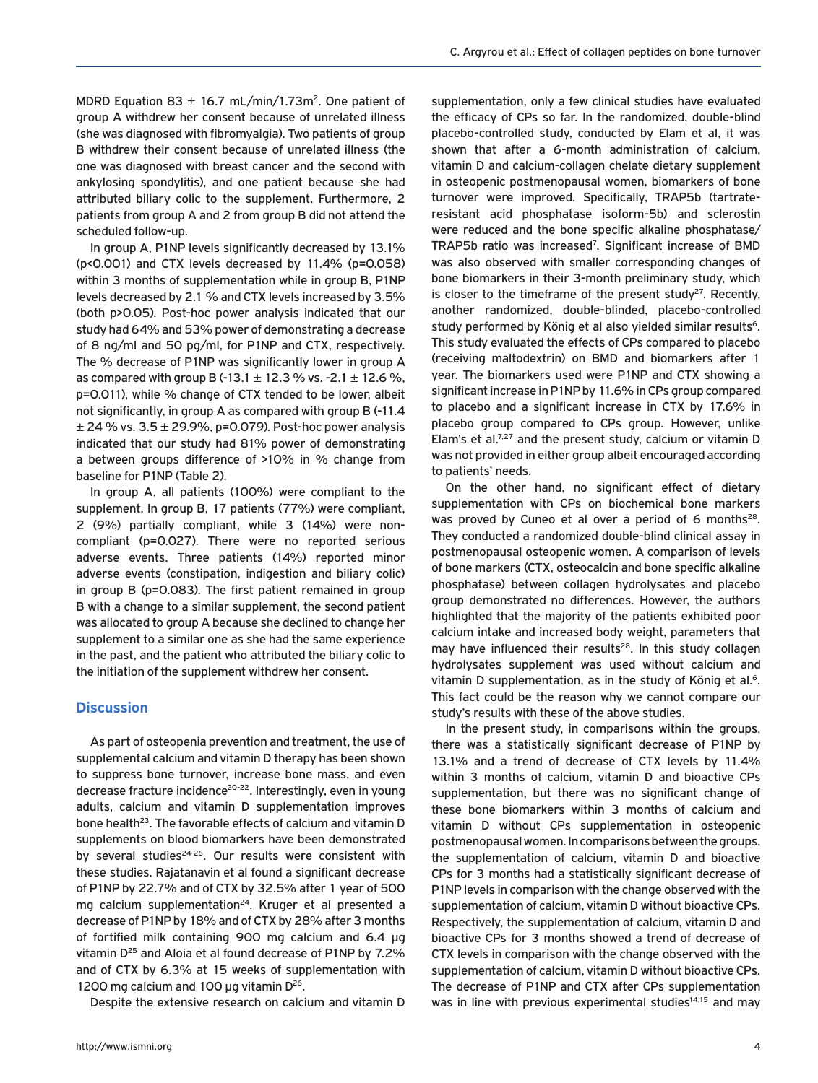MDRD Equation 83  $\pm$  16.7 mL/min/1.73m<sup>2</sup>. One patient of group A withdrew her consent because of unrelated illness (she was diagnosed with fibromyalgia). Two patients of group B withdrew their consent because of unrelated illness (the one was diagnosed with breast cancer and the second with ankylosing spondylitis), and one patient because she had attributed biliary colic to the supplement. Furthermore, 2 patients from group A and 2 from group B did not attend the scheduled follow-up.

Ιn group A, P1NP levels significantly decreased by 13.1% (p<0.001) and CTX levels decreased by 11.4% (p=0.058) within 3 months of supplementation while in group B, P1NP levels decreased by 2.1 % and CTX levels increased by 3.5% (both p>0.05). Post-hoc power analysis indicated that our study had 64% and 53% power of demonstrating a decrease of 8 ng/ml and 50 pg/ml, for P1NP and CTX, respectively. The % decrease of P1NP was significantly lower in group A as compared with group B (-13.1  $\pm$  12.3 % vs. -2.1  $\pm$  12.6 %, p=0.011), while % change of CTX tended to be lower, albeit not significantly, in group A as compared with group B (-11.4  $\pm$  24 % vs. 3.5  $\pm$  29.9%, p=0.079). Post-hoc power analysis indicated that our study had 81% power of demonstrating a between groups difference of >10% in % change from baseline for P1NP (Table 2).

In group A, all patients (100%) were compliant to the supplement. In group B, 17 patients (77%) were compliant, 2 (9%) partially compliant, while 3 (14%) were noncompliant (p=0.027). There were no reported serious adverse events. Three patients (14%) reported minor adverse events (constipation, indigestion and biliary colic) in group B (p=0.083). The first patient remained in group B with a change to a similar supplement, the second patient was allocated to group A because she declined to change her supplement to a similar one as she had the same experience in the past, and the patient who attributed the biliary colic to the initiation of the supplement withdrew her consent.

## **Discussion**

As part of osteopenia prevention and treatment, the use of supplemental calcium and vitamin D therapy has been shown to suppress bone turnover, increase bone mass, and even decrease fracture incidence<sup>20-22</sup>. Interestingly, even in young adults, calcium and vitamin D supplementation improves bone health<sup>23</sup>. The favorable effects of calcium and vitamin D supplements on blood biomarkers have been demonstrated by several studies<sup>24-26</sup>. Our results were consistent with these studies. Rajatanavin et al found a significant decrease of P1NP by 22.7% and of CTX by 32.5% after 1 year of 500 mg calcium supplementation<sup>24</sup>. Kruger et al presented a decrease of P1NP by 18% and of CTX by 28% after 3 months of fortified milk containing 900 mg calcium and 6.4 μg vitamin D<sup>25</sup> and Aloia et al found decrease of P1NP by 7.2% and of CTX by 6.3% at 15 weeks of supplementation with 1200 mg calcium and 100 μg vitamin D<sup>26</sup>.

Despite the extensive research on calcium and vitamin D

supplementation, only a few clinical studies have evaluated the efficacy of CPs so far. In the randomized, double-blind placebo-controlled study, conducted by Elam et al, it was shown that after a 6-month administration of calcium, vitamin D and calcium-collagen chelate dietary supplement in osteopenic postmenopausal women, biomarkers of bone turnover were improved. Specifically, TRAP5b (tartrateresistant acid phosphatase isoform-5b) and sclerostin were reduced and the bone specific alkaline phosphatase/ TRAP5b ratio was increased<sup>7</sup>. Significant increase of BMD was also observed with smaller corresponding changes of bone biomarkers in their 3-month preliminary study, which is closer to the timeframe of the present study<sup>27</sup>. Recently, another randomized, double-blinded, placebo-controlled study performed by König et al also yielded similar results<sup>6</sup>. This study evaluated the effects of CPs compared to placebo (receiving maltodextrin) on BMD and biomarkers after 1 year. The biomarkers used were P1NP and CTX showing a significant increase in P1NP by 11.6% in CPs group compared to placebo and a significant increase in CTX by 17.6% in placebo group compared to CPs group. However, unlike Elam's et al. $7.27$  and the present study, calcium or vitamin D was not provided in either group albeit encouraged according to patients' needs.

On the other hand, no significant effect of dietary supplementation with CPs on biochemical bone markers was proved by Cuneo et al over a period of 6 months<sup>28</sup>. They conducted a randomized double-blind clinical assay in postmenopausal osteopenic women. A comparison of levels of bone markers (CTX, osteocalcin and bone specific alkaline phosphatase) between collagen hydrolysates and placebo group demonstrated no differences. However, the authors highlighted that the majority of the patients exhibited poor calcium intake and increased body weight, parameters that may have influenced their results<sup>28</sup>. In this study collagen hydrolysates supplement was used without calcium and vitamin D supplementation, as in the study of König et al.<sup>6</sup>. This fact could be the reason why we cannot compare our study's results with these of the above studies.

In the present study, in comparisons within the groups, there was a statistically significant decrease of P1NP by 13.1% and a trend of decrease of CTX levels by 11.4% within 3 months of calcium, vitamin D and bioactive CPs supplementation, but there was no significant change of these bone biomarkers within 3 months of calcium and vitamin D without CPs supplementation in osteopenic postmenopausal women. In comparisons between the groups, the supplementation of calcium, vitamin D and bioactive CPs for 3 months had a statistically significant decrease of P1NP levels in comparison with the change observed with the supplementation of calcium, vitamin D without bioactive CPs. Respectively, the supplementation of calcium, vitamin D and bioactive CPs for 3 months showed a trend of decrease of CTX levels in comparison with the change observed with the supplementation of calcium, vitamin D without bioactive CPs. The decrease of P1NP and CTX after CPs supplementation was in line with previous experimental studies<sup>14,15</sup> and may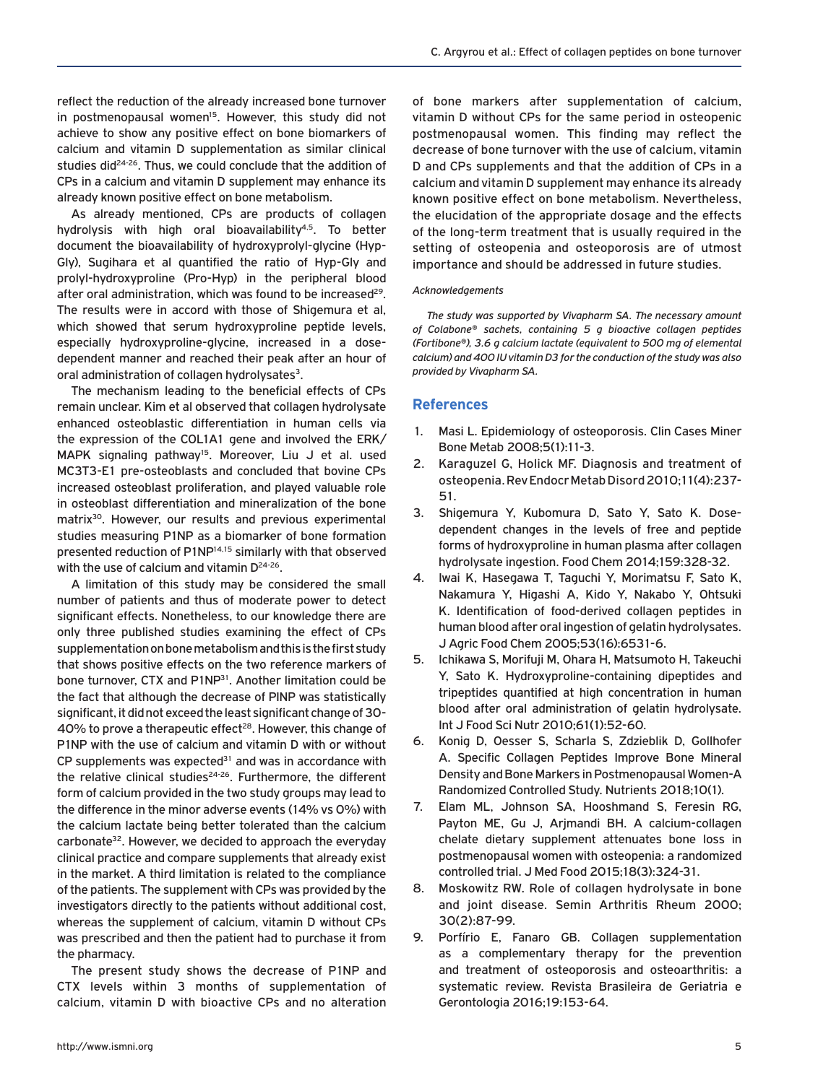reflect the reduction of the already increased bone turnover in postmenopausal women<sup>15</sup>. However, this study did not achieve to show any positive effect on bone biomarkers of calcium and vitamin D supplementation as similar clinical studies did<sup>24-26</sup>. Thus, we could conclude that the addition of CPs in a calcium and vitamin D supplement may enhance its already known positive effect on bone metabolism.

As already mentioned, CPs are products of collagen hydrolysis with high oral bioavailability $4.5$ . To better document the bioavailability of hydroxyprolyl-glycine (Hyp-Gly), Sugihara et al quantified the ratio of Hyp-Gly and prolyl-hydroxyproline (Pro-Hyp) in the peripheral blood after oral administration, which was found to be increased<sup>29</sup>. The results were in accord with those of Shigemura et al, which showed that serum hydroxyproline peptide levels, especially hydroxyproline-glycine, increased in a dosedependent manner and reached their peak after an hour of oral administration of collagen hydrolysates<sup>3</sup>.

The mechanism leading to the beneficial effects of CPs remain unclear. Kim et al observed that collagen hydrolysate enhanced osteoblastic differentiation in human cells via the expression of the COL1A1 gene and involved the ERK/ MAPK signaling pathway<sup>15</sup>. Moreover, Liu J et al. used MC3T3-E1 pre-osteoblasts and concluded that bovine CPs increased osteoblast proliferation, and played valuable role in osteoblast differentiation and mineralization of the bone matrix<sup>30</sup>. However, our results and previous experimental studies measuring P1NP as a biomarker of bone formation presented reduction of P1NP<sup>14,15</sup> similarly with that observed with the use of calcium and vitamin  $D^{24-26}$ .

A limitation of this study may be considered the small number of patients and thus of moderate power to detect significant effects. Nonetheless, to our knowledge there are only three published studies examining the effect of CPs supplementation on bone metabolism and this is the first study that shows positive effects on the two reference markers of bone turnover, CTX and P1NP<sup>31</sup>. Another limitation could be the fact that although the decrease of PINP was statistically significant, it did not exceed the least significant change of 30- 40% to prove a therapeutic effect<sup>28</sup>. However, this change of P1NP with the use of calcium and vitamin D with or without CP supplements was expected $31$  and was in accordance with the relative clinical studies<sup>24-26</sup>. Furthermore, the different form of calcium provided in the two study groups may lead to the difference in the minor adverse events (14% vs 0%) with the calcium lactate being better tolerated than the calcium carbonate<sup>32</sup>. However, we decided to approach the everyday clinical practice and compare supplements that already exist in the market. A third limitation is related to the compliance of the patients. The supplement with CPs was provided by the investigators directly to the patients without additional cost, whereas the supplement of calcium, vitamin D without CPs was prescribed and then the patient had to purchase it from the pharmacy.

The present study shows the decrease of P1NP and CTX levels within 3 months of supplementation of calcium, vitamin D with bioactive CPs and no alteration of bone markers after supplementation of calcium, vitamin D without CPs for the same period in osteopenic postmenopausal women. This finding may reflect the decrease of bone turnover with the use of calcium, vitamin D and CPs supplements and that the addition of CPs in a calcium and vitamin D supplement may enhance its already known positive effect on bone metabolism. Nevertheless, the elucidation of the appropriate dosage and the effects of the long-term treatment that is usually required in the setting of osteopenia and osteoporosis are of utmost importance and should be addressed in future studies.

## *Acknowledgements*

*The study was supported by Vivapharm SA. The necessary amount of Colabone® sachets, containing 5 g bioactive collagen peptides (Fortibone®), 3.6 g calcium lactate (equivalent to 500 mg of elemental calcium) and 400 IU vitamin D3 for the conduction of the study was also provided by Vivapharm SA.*

## **References**

- 1. Masi L. Epidemiology of osteoporosis. Clin Cases Miner Bone Metab 2008;5(1):11-3.
- 2. Karaguzel G, Holick MF. Diagnosis and treatment of osteopenia. Rev Endocr Metab Disord 2010;11(4):237- 51.
- 3. Shigemura Y, Kubomura D, Sato Y, Sato K. Dosedependent changes in the levels of free and peptide forms of hydroxyproline in human plasma after collagen hydrolysate ingestion. Food Chem 2014;159:328-32.
- 4. Iwai K, Hasegawa T, Taguchi Y, Morimatsu F, Sato K, Nakamura Y, Higashi A, Kido Y, Nakabo Y, Ohtsuki K. Identification of food-derived collagen peptides in human blood after oral ingestion of gelatin hydrolysates. J Agric Food Chem 2005;53(16):6531-6.
- 5. Ichikawa S, Morifuji M, Ohara H, Matsumoto H, Takeuchi Y, Sato K. Hydroxyproline-containing dipeptides and tripeptides quantified at high concentration in human blood after oral administration of gelatin hydrolysate. Int J Food Sci Nutr 2010;61(1):52-60.
- 6. Konig D, Oesser S, Scharla S, Zdzieblik D, Gollhofer A. Specific Collagen Peptides Improve Bone Mineral Density and Bone Markers in Postmenopausal Women-A Randomized Controlled Study. Nutrients 2018;10(1).
- 7. Elam ML, Johnson SA, Hooshmand S, Feresin RG, Payton ME, Gu J, Arjmandi BH. A calcium-collagen chelate dietary supplement attenuates bone loss in postmenopausal women with osteopenia: a randomized controlled trial. J Med Food 2015;18(3):324-31.
- 8. Moskowitz RW. Role of collagen hydrolysate in bone and joint disease. Semin Arthritis Rheum 2000; 30(2):87-99.
- 9. Porfírio E, Fanaro GB. Collagen supplementation as a complementary therapy for the prevention and treatment of osteoporosis and osteoarthritis: a systematic review. Revista Brasileira de Geriatria e Gerontologia 2016;19:153-64.